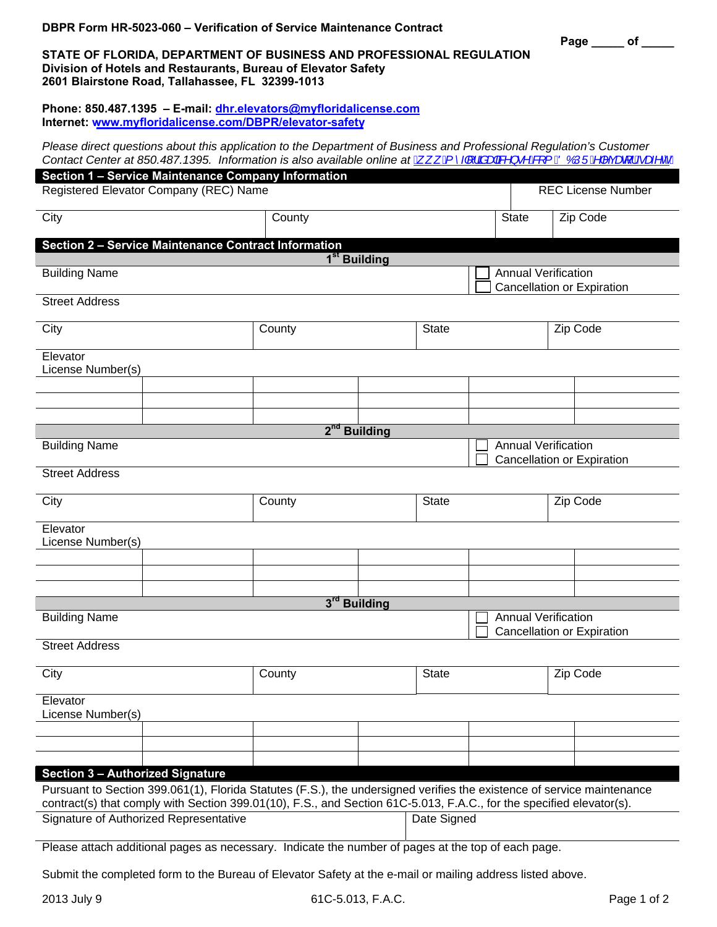**Page \_\_\_\_\_ of \_\_\_\_\_** 

## **STATE OF FLORIDA, DEPARTMENT OF BUSINESS AND PROFESSIONAL REGULATION Division of Hotels and Restaurants, Bureau of Elevator Safety 2601 Blairstone Road, Tallahassee, FL 32399-1013**

**Phone: 850.487.1395 – E-mail: dhr.elevators@myfloridalicense.com Internet: <www.myfloridalicense.com/DBPR/elevator-safety>**

*Please direct questions about this application to the Department of Business and Professional Regulation's Customer Contact Center at 850.487.1395. Information is also available online at*  $\underline{A}$ *,*  $\underline{R}^2\overline{H}$ *|*  $\frac{\partial}{\partial R}$  *+*  $\frac{\partial}{\partial R}$  *{*  $\underline{B}$  $\underline{O}$  $\underline{O}$  $\underline{O}$  $\underline{P}$  $\infty$  $\underline{C}$  $\underline{F}$ 

|                                                                                                                                                                                                                                                | <b>Section 1 - Service Maintenance Company Information</b> |                                                                 |                                                          |              |              |                           |          |  |  |  |  |  |
|------------------------------------------------------------------------------------------------------------------------------------------------------------------------------------------------------------------------------------------------|------------------------------------------------------------|-----------------------------------------------------------------|----------------------------------------------------------|--------------|--------------|---------------------------|----------|--|--|--|--|--|
| Registered Elevator Company (REC) Name                                                                                                                                                                                                         |                                                            |                                                                 |                                                          |              |              | <b>REC</b> License Number |          |  |  |  |  |  |
| City                                                                                                                                                                                                                                           |                                                            | County                                                          |                                                          |              | <b>State</b> |                           | Zip Code |  |  |  |  |  |
| Section 2 - Service Maintenance Contract Information<br>1 <sup>st</sup> Building                                                                                                                                                               |                                                            |                                                                 |                                                          |              |              |                           |          |  |  |  |  |  |
| <b>Annual Verification</b><br><b>Building Name</b>                                                                                                                                                                                             |                                                            |                                                                 |                                                          |              |              |                           |          |  |  |  |  |  |
|                                                                                                                                                                                                                                                |                                                            | <b>Cancellation or Expiration</b>                               |                                                          |              |              |                           |          |  |  |  |  |  |
| <b>Street Address</b>                                                                                                                                                                                                                          |                                                            |                                                                 |                                                          |              |              |                           |          |  |  |  |  |  |
| City                                                                                                                                                                                                                                           |                                                            | County                                                          |                                                          | <b>State</b> |              |                           | Zip Code |  |  |  |  |  |
| Elevator<br>License Number(s)                                                                                                                                                                                                                  |                                                            |                                                                 |                                                          |              |              |                           |          |  |  |  |  |  |
|                                                                                                                                                                                                                                                |                                                            |                                                                 |                                                          |              |              |                           |          |  |  |  |  |  |
|                                                                                                                                                                                                                                                |                                                            |                                                                 |                                                          |              |              |                           |          |  |  |  |  |  |
|                                                                                                                                                                                                                                                |                                                            | 2 <sup>nd</sup> Building                                        |                                                          |              |              |                           |          |  |  |  |  |  |
| <b>Building Name</b>                                                                                                                                                                                                                           |                                                            |                                                                 | <b>Annual Verification</b><br>Cancellation or Expiration |              |              |                           |          |  |  |  |  |  |
| <b>Street Address</b>                                                                                                                                                                                                                          |                                                            |                                                                 |                                                          |              |              |                           |          |  |  |  |  |  |
| City                                                                                                                                                                                                                                           |                                                            | County                                                          |                                                          | <b>State</b> |              |                           | Zip Code |  |  |  |  |  |
| Elevator<br>License Number(s)                                                                                                                                                                                                                  |                                                            |                                                                 |                                                          |              |              |                           |          |  |  |  |  |  |
|                                                                                                                                                                                                                                                |                                                            |                                                                 |                                                          |              |              |                           |          |  |  |  |  |  |
|                                                                                                                                                                                                                                                |                                                            |                                                                 |                                                          |              |              |                           |          |  |  |  |  |  |
|                                                                                                                                                                                                                                                |                                                            | 3rd Building                                                    |                                                          |              |              |                           |          |  |  |  |  |  |
| <b>Building Name</b>                                                                                                                                                                                                                           |                                                            | <b>Annual Verification</b><br><b>Cancellation or Expiration</b> |                                                          |              |              |                           |          |  |  |  |  |  |
| <b>Street Address</b>                                                                                                                                                                                                                          |                                                            |                                                                 |                                                          |              |              |                           |          |  |  |  |  |  |
| City                                                                                                                                                                                                                                           |                                                            | County                                                          |                                                          | <b>State</b> |              |                           | Zip Code |  |  |  |  |  |
| Elevator<br>License Number(s)                                                                                                                                                                                                                  |                                                            |                                                                 |                                                          |              |              |                           |          |  |  |  |  |  |
|                                                                                                                                                                                                                                                |                                                            |                                                                 |                                                          |              |              |                           |          |  |  |  |  |  |
|                                                                                                                                                                                                                                                |                                                            |                                                                 |                                                          |              |              |                           |          |  |  |  |  |  |
| <b>Section 3 - Authorized Signature</b>                                                                                                                                                                                                        |                                                            |                                                                 |                                                          |              |              |                           |          |  |  |  |  |  |
| Pursuant to Section 399.061(1), Florida Statutes (F.S.), the undersigned verifies the existence of service maintenance<br>contract(s) that comply with Section 399.01(10), F.S., and Section 61C-5.013, F.A.C., for the specified elevator(s). |                                                            |                                                                 |                                                          |              |              |                           |          |  |  |  |  |  |
| Signature of Authorized Representative                                                                                                                                                                                                         |                                                            |                                                                 |                                                          |              | Date Signed  |                           |          |  |  |  |  |  |
| Please attach additional pages as necessary. Indicate the number of pages at the top of each page.                                                                                                                                             |                                                            |                                                                 |                                                          |              |              |                           |          |  |  |  |  |  |

Submit the completed form to the Bureau of Elevator Safety at the e-mail or mailing address listed above.